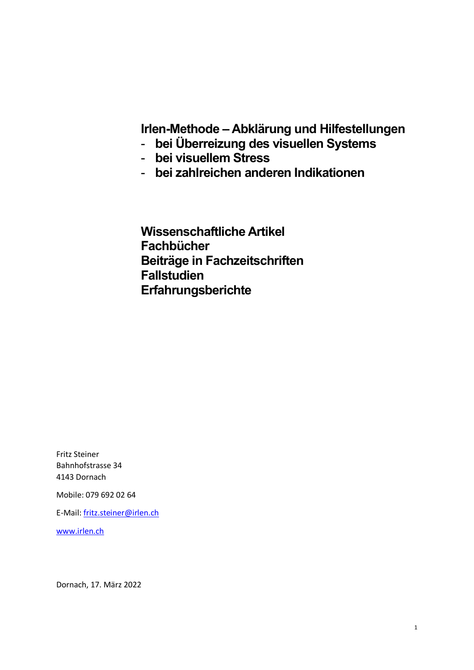**Irlen-Methode – Abklärung und Hilfestellungen**

- **bei Überreizung des visuellen Systems**
- **bei visuellem Stress**
- **bei zahlreichen anderen Indikationen**

**Wissenschaftliche Artikel Fachbücher Beiträge in Fachzeitschriften Fallstudien Erfahrungsberichte**

Fritz Steiner Bahnhofstrasse 34 4143 Dornach

Mobile: 079 692 02 64

E-Mail[: fritz.steiner@irlen.ch](mailto:fritz.steiner@irlen.ch)

[www.irlen.ch](http://www.irlen.ch/)

Dornach, 17. März 2022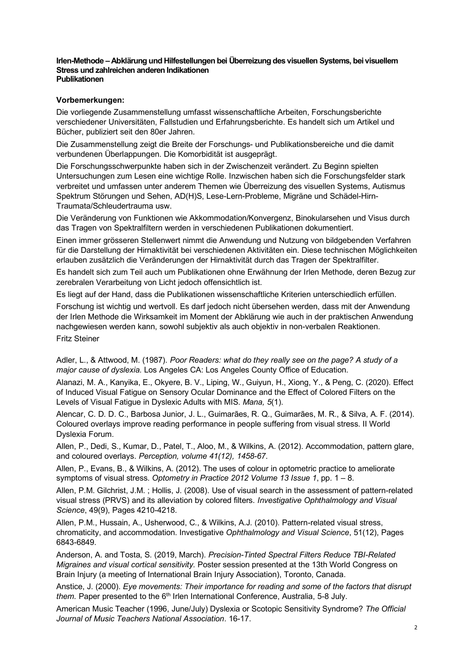## **Irlen-Methode – Abklärung und Hilfestellungen bei Überreizung des visuellen Systems, bei visuellem Stress und zahlreichen anderen Indikationen Publikationen**

## **Vorbemerkungen:**

Die vorliegende Zusammenstellung umfasst wissenschaftliche Arbeiten, Forschungsberichte verschiedener Universitäten, Fallstudien und Erfahrungsberichte. Es handelt sich um Artikel und Bücher, publiziert seit den 80er Jahren.

Die Zusammenstellung zeigt die Breite der Forschungs- und Publikationsbereiche und die damit verbundenen Überlappungen. Die Komorbidität ist ausgeprägt.

Die Forschungsschwerpunkte haben sich in der Zwischenzeit verändert. Zu Beginn spielten Untersuchungen zum Lesen eine wichtige Rolle. Inzwischen haben sich die Forschungsfelder stark verbreitet und umfassen unter anderem Themen wie Überreizung des visuellen Systems, Autismus Spektrum Störungen und Sehen, AD(H)S, Lese-Lern-Probleme, Migräne und Schädel-Hirn-Traumata/Schleudertrauma usw.

Die Veränderung von Funktionen wie Akkommodation/Konvergenz, Binokularsehen und Visus durch das Tragen von Spektralfiltern werden in verschiedenen Publikationen dokumentiert.

Einen immer grösseren Stellenwert nimmt die Anwendung und Nutzung von bildgebenden Verfahren für die Darstellung der Hirnaktivität bei verschiedenen Aktivitäten ein. Diese technischen Möglichkeiten erlauben zusätzlich die Veränderungen der Hirnaktivität durch das Tragen der Spektralfilter.

Es handelt sich zum Teil auch um Publikationen ohne Erwähnung der Irlen Methode, deren Bezug zur zerebralen Verarbeitung von Licht jedoch offensichtlich ist.

Es liegt auf der Hand, dass die Publikationen wissenschaftliche Kriterien unterschiedlich erfüllen.

Forschung ist wichtig und wertvoll. Es darf jedoch nicht übersehen werden, dass mit der Anwendung der Irlen Methode die Wirksamkeit im Moment der Abklärung wie auch in der praktischen Anwendung nachgewiesen werden kann, sowohl subjektiv als auch objektiv in non-verbalen Reaktionen. Fritz Steiner

Adler, L., & Attwood, M. (1987). *Poor Readers: what do they really see on the page? A study of a major cause of dyslexia.* Los Angeles CA: Los Angeles County Office of Education.

Alanazi, M. A., Kanyika, E., Okyere, B. V., Liping, W., Guiyun, H., Xiong, Y., & Peng, C. (2020). Effect of Induced Visual Fatigue on Sensory Ocular Dominance and the Effect of Colored Filters on the Levels of Visual Fatigue in Dyslexic Adults with MIS. *Mana, 5*(1).

Alencar, C. D. D. C., Barbosa Junior, J. L., Guimarães, R. Q., Guimarães, M. R., & Silva, A. F. (2014). Coloured overlays improve reading performance in people suffering from visual stress. II World Dyslexia Forum.

Allen, P., Dedi, S., Kumar, D., Patel, T., Aloo, M., & Wilkins, A. (2012). Accommodation, pattern glare, and coloured overlays. *Perception, volume 41(12), 1458-67*.

Allen, P., Evans, B., & Wilkins, A. (2012). The uses of colour in optometric practice to ameliorate symptoms of visual stress. *Optometry in Practice 2012 Volume 13 Issue 1*, pp. 1 – 8.

Allen, P.M. Gilchrist, J.M. ; Hollis, J. (2008). Use of visual search in the assessment of pattern-related visual stress (PRVS) and its alleviation by colored filters. *Investigative Ophthalmology and Visual Science*, 49(9), Pages 4210-4218.

Allen, P.M., Hussain, A., Usherwood, C., & Wilkins, A.J. (2010). Pattern-related visual stress, chromaticity, and accommodation. Investigative *Ophthalmology and Visual Science*, 51(12), Pages 6843-6849.

Anderson, A. and Tosta, S. (2019, March). *Precision-Tinted Spectral Filters Reduce TBI-Related Migraines and visual cortical sensitivity.* Poster session presented at the 13th World Congress on Brain Injury (a meeting of International Brain Injury Association), Toronto, Canada.

Anstice, J. (2000). *Eye movements: Their importance for reading and some of the factors that disrupt them.* Paper presented to the 6<sup>th</sup> Irlen International Conference, Australia, 5-8 July.

American Music Teacher (1996, June/July) Dyslexia or Scotopic Sensitivity Syndrome? *The Official Journal of Music Teachers National Association*. 16-17.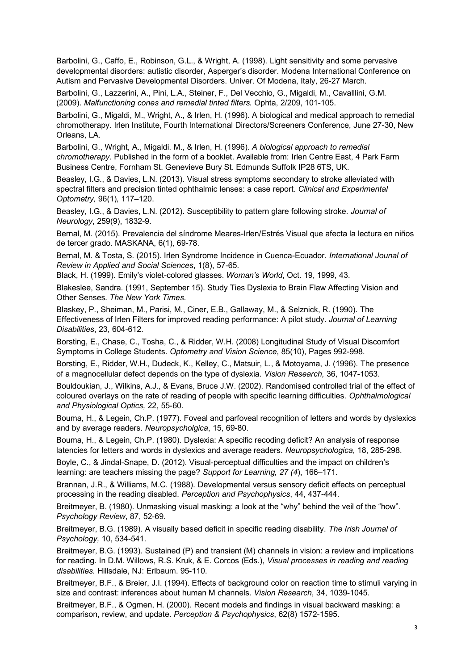Barbolini, G., Caffo, E., Robinson, G.L., & Wright, A. (1998). Light sensitivity and some pervasive developmental disorders: autistic disorder, Asperger's disorder. Modena International Conference on Autism and Pervasive Developmental Disorders. Univer. Of Modena, Italy, 26-27 March.

Barbolini, G., Lazzerini, A., Pini, L.A., Steiner, F., Del Vecchio, G., Migaldi, M., Cavalllini, G.M. (2009). *Malfunctioning cones and remedial tinted filters.* Ophta, 2/209, 101-105.

Barbolini, G., Migaldi, M., Wright, A., & Irlen, H. (1996). A biological and medical approach to remedial chromotherapy. Irlen Institute, Fourth International Directors/Screeners Conference, June 27-30, New Orleans, LA.

Barbolini, G., Wright, A., Migaldi. M., & Irlen, H. (1996). *A biological approach to remedial chromotherapy.* Published in the form of a booklet. Available from: Irlen Centre East, 4 Park Farm Business Centre, Fornham St. Genevieve Bury St. Edmunds Suffolk IP28 6TS, UK.

Beasley, I.G., & Davies, L.N. (2013). Visual stress symptoms secondary to stroke alleviated with spectral filters and precision tinted ophthalmic lenses: a case report. *Clinical and Experimental Optometry,* 96(1), 117–120.

Beasley, I.G., & Davies, L.N. (2012). Susceptibility to pattern glare following stroke. *Journal of Neurology*, 259(9), 1832-9.

Bernal, M. (2015). Prevalencia del síndrome Meares-Irlen/Estrés Visual que afecta la lectura en niños de tercer grado. MASKANA, 6(1), 69-78.

Bernal, M. & Tosta, S. (2015). Irlen Syndrome Incidence in Cuenca-Ecuador. *International Jounal of Review in Applied and Social Sciences*, 1(8), 57-65.

Black, H. (1999). Emily's violet-colored glasses. *Woman's World*, Oct. 19, 1999, 43.

Blakeslee, Sandra. (1991, September 15). Study Ties Dyslexia to Brain Flaw Affecting Vision and Other Senses. *The New York Times*.

Blaskey, P., Sheiman, M., Parisi, M., Ciner, E.B., Gallaway, M., & Selznick, R. (1990). The Effectiveness of Irlen Filters for improved reading performance: A pilot study. *Journal of Learning Disabilities*, 23, 604-612.

Borsting, E., Chase, C., Tosha, C., & Ridder, W.H. (2008) Longitudinal Study of Visual Discomfort Symptoms in College Students. *Optometry and Vision Science*, 85(10), Pages 992-998.

Borsting, E., Ridder, W.H., Dudeck, K., Kelley, C., Matsuir, L., & Motoyama, J. (1996). The presence of a magnocellular defect depends on the type of dyslexia. *Vision Research,* 36, 1047-1053.

Bouldoukian, J., Wilkins, A.J., & Evans, Bruce J.W. (2002). Randomised controlled trial of the effect of coloured overlays on the rate of reading of people with specific learning difficulties. *Ophthalmological and Physiological Optics,* 22, 55-60.

Bouma, H., & Legein, Ch.P. (1977). Foveal and parfoveal recognition of letters and words by dyslexics and by average readers. *Neuropsycholgica*, 15, 69-80.

Bouma, H., & Legein, Ch.P. (1980). Dyslexia: A specific recoding deficit? An analysis of response latencies for letters and words in dyslexics and average readers. *Neuropsychologica*, 18, 285-298.

Boyle, C., & Jindal-Snape, D. (2012). Visual-perceptual difficulties and the impact on children's learning: are teachers missing the page? *Support for Learning, 27 (4*), 166–171.

Brannan, J.R., & Williams, M.C. (1988). Developmental versus sensory deficit effects on perceptual processing in the reading disabled. *Perception and Psychophysics*, 44, 437-444.

Breitmeyer, B. (1980). Unmasking visual masking: a look at the "why" behind the veil of the "how". *Psychology Review*, 87, 52-69.

Breitmeyer, B.G. (1989). A visually based deficit in specific reading disability. *The Irish Journal of Psychology,* 10, 534-541.

Breitmeyer, B.G. (1993). Sustained (P) and transient (M) channels in vision: a review and implications for reading. In D.M. Willows, R.S. Kruk, & E. Corcos (Eds.), *Visual processes in reading and reading disabilities.* Hillsdale, NJ: Erlbaum. 95-110.

Breitmeyer, B.F., & Breier, J.I. (1994). Effects of background color on reaction time to stimuli varying in size and contrast: inferences about human M channels. *Vision Research*, 34, 1039-1045.

Breitmeyer, B.F., & Ogmen, H. (2000). Recent models and findings in visual backward masking: a comparison, review, and update. *Perception & Psychophysics*, 62(8) 1572-1595.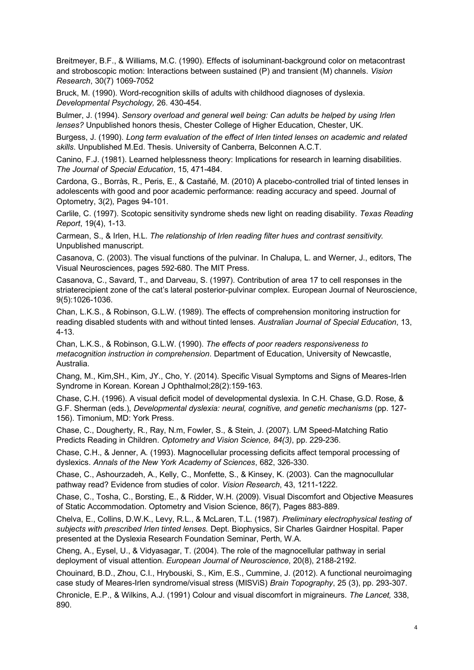Breitmeyer, B.F., & Williams, M.C. (1990). Effects of isoluminant-background color on metacontrast and stroboscopic motion: Interactions between sustained (P) and transient (M) channels. *Vision Research*, 30(7) 1069-7052

Bruck, M. (1990). Word-recognition skills of adults with childhood diagnoses of dyslexia. *Developmental Psychology,* 26. 430-454.

Bulmer, J. (1994). *Sensory overload and general well being: Can adults be helped by using Irlen lenses?* Unpublished honors thesis, Chester College of Higher Education, Chester, UK.

Burgess, J. (1990). *Long term evaluation of the effect of Irlen tinted lenses on academic and related skills*. Unpublished M.Ed. Thesis. University of Canberra, Belconnen A.C.T.

Canino, F.J. (1981). Learned helplessness theory: Implications for research in learning disabilities. *The Journal of Special Education*, 15, 471-484.

Cardona, G., Borràs, R., Peris, E., & Castañé, M. (2010) A placebo-controlled trial of tinted lenses in adolescents with good and poor academic performance: reading accuracy and speed. Journal of Optometry, 3(2), Pages 94-101.

Carlile, C. (1997). Scotopic sensitivity syndrome sheds new light on reading disability. *Texas Reading Report*, 19(4), 1-13.

Carmean, S., & Irlen, H.L. *The relationship of Irlen reading filter hues and contrast sensitivity.* Unpublished manuscript.

Casanova, C. (2003). The visual functions of the pulvinar. In Chalupa, L. and Werner, J., editors, The Visual Neurosciences, pages 592-680. The MIT Press.

Casanova, C., Savard, T., and Darveau, S. (1997). Contribution of area 17 to cell responses in the striaterecipient zone of the cat's lateral posterior-pulvinar complex. European Journal of Neuroscience, 9(5):1026-1036.

Chan, L.K.S., & Robinson, G.L.W. (1989). The effects of comprehension monitoring instruction for reading disabled students with and without tinted lenses. *Australian Journal of Special Education*, 13, 4-13.

Chan, L.K.S., & Robinson, G.L.W. (1990). *The effects of poor readers responsiveness to metacognition instruction in comprehension*. Department of Education, University of Newcastle, Australia.

Chang, M., Kim,SH., Kim, JY., Cho, Y. (2014). Specific Visual Symptoms and Signs of Meares-Irlen Syndrome in Korean. Korean J Ophthalmol;28(2):159-163.

Chase, C.H. (1996). A visual deficit model of developmental dyslexia. In C.H. Chase, G.D. Rose, & G.F. Sherman (eds.), *Developmental dyslexia: neural, cognitive, and genetic mechanisms* (pp. 127- 156). Timonium, MD: York Press.

Chase, C., Dougherty, R., Ray, N.m, Fowler, S., & Stein, J. (2007). L/M Speed-Matching Ratio Predicts Reading in Children. *Optometry and Vision Science, 84(3)*, pp. 229-236.

Chase, C.H., & Jenner, A. (1993). Magnocellular processing deficits affect temporal processing of dyslexics. *Annals of the New York Academy of Sciences*, 682, 326-330.

Chase, C., Ashourzadeh, A., Kelly, C., Monfette, S., & Kinsey, K. (2003). Can the magnocullular pathway read? Evidence from studies of color. *Vision Research*, 43, 1211-1222.

Chase, C., Tosha, C., Borsting, E., & Ridder, W.H. (2009). Visual Discomfort and Objective Measures of Static Accommodation. Optometry and Vision Science, 86(7), Pages 883-889.

Chelva, E., Collins, D.W.K., Levy, R.L., & McLaren, T.L. (1987). *Preliminary electrophysical testing of subjects with prescribed Irlen tinted lenses.* Dept. Biophysics, Sir Charles Gairdner Hospital. Paper presented at the Dyslexia Research Foundation Seminar, Perth, W.A.

Cheng, A., Eysel, U., & Vidyasagar, T. (2004). The role of the magnocellular pathway in serial deployment of visual attention. *European Journal of Neuroscience*, 20(8), 2188-2192.

Chouinard, B.D., Zhou, C.I., Hrybouski, S., Kim, E.S., Cummine, J. (2012). A functional neuroimaging case study of Meares-Irlen syndrome/visual stress (MISViS) *Brain Topography*, 25 (3), pp. 293-307.

Chronicle, E.P., & Wilkins, A.J. (1991) Colour and visual discomfort in migraineurs. *The Lancet,* 338, 890.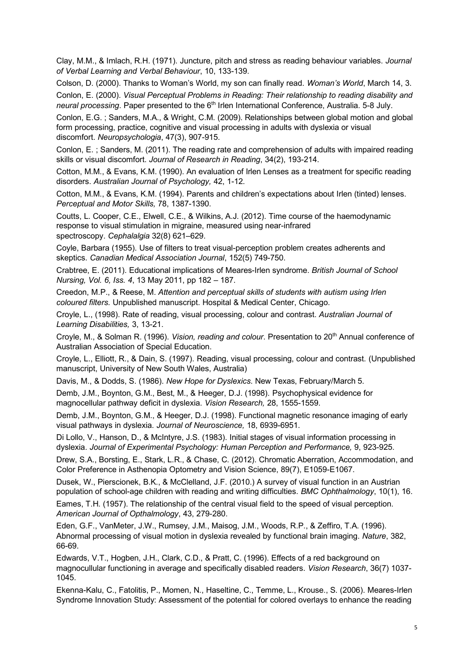Clay, M.M., & Imlach, R.H. (1971). Juncture, pitch and stress as reading behaviour variables. *Journal of Verbal Learning and Verbal Behaviour*, 10, 133-139.

Colson, D. (2000). Thanks to Woman's World, my son can finally read. *Woman's World*, March 14, 3.

Conlon, E. (2000). *Visual Perceptual Problems in Reading: Their relationship to reading disability and neural processing*. Paper presented to the 6th Irlen International Conference, Australia. 5-8 July.

Conlon, E.G. ; Sanders, M.A., & Wright, C.M. (2009). Relationships between global motion and global form processing, practice, cognitive and visual processing in adults with dyslexia or visual discomfort. *Neuropsychologia*, 47(3), 907-915.

Conlon, E. ; Sanders, M. (2011). The reading rate and comprehension of adults with impaired reading skills or visual discomfort. *Journal of Research in Reading*, 34(2), 193-214.

Cotton, M.M., & Evans, K.M. (1990). An evaluation of Irlen Lenses as a treatment for specific reading disorders. *Australian Journal of Psychology,* 42, 1-12.

Cotton, M.M., & Evans, K.M. (1994). Parents and children's expectations about Irlen (tinted) lenses. *Perceptual and Motor Skills,* 78, 1387-1390.

Coutts, L. Cooper, C.E., Elwell, C.E., & Wilkins, A.J. (2012). Time course of the haemodynamic response to visual stimulation in migraine, measured using near-infrared spectroscopy. *Cephalalgia* 32(8) 621–629.

Coyle, Barbara (1955). Use of filters to treat visual-perception problem creates adherents and skeptics. *Canadian Medical Association Journal*, 152(5) 749-750.

Crabtree, E. (2011). Educational implications of Meares-Irlen syndrome. *British Journal of School Nursing, Vol. 6, Iss. 4*, 13 May 2011, pp 182 – 187.

Creedon, M.P., & Reese, M. *Attention and perceptual skills of students with autism using Irlen coloured filters.* Unpublished manuscript. Hospital & Medical Center, Chicago.

Croyle, L., (1998). Rate of reading, visual processing, colour and contrast. *Australian Journal of Learning Disabilities,* 3, 13-21.

Croyle, M., & Solman R. (1996). *Vision, reading and colour*. Presentation to 20<sup>th</sup> Annual conference of Australian Association of Special Education.

Croyle, L., Elliott, R., & Dain, S. (1997). Reading, visual processing, colour and contrast. (Unpublished manuscript, University of New South Wales, Australia)

Davis, M., & Dodds, S. (1986). *New Hope for Dyslexics*. New Texas, February/March 5.

Demb, J.M., Boynton, G.M., Best, M., & Heeger, D.J. (1998). Psychophysical evidence for magnocellular pathway deficit in dyslexia. *Vision Research,* 28, 1555-1559.

Demb, J.M., Boynton, G.M., & Heeger, D.J. (1998). Functional magnetic resonance imaging of early visual pathways in dyslexia. *Journal of Neuroscience,* 18, 6939-6951.

Di Lollo, V., Hanson, D., & McIntyre, J.S. (1983). Initial stages of visual information processing in dyslexia. *Journal of Experimental Psychology: Human Perception and Performance,* 9, 923-925.

Drew, S.A., Borsting, E., Stark, L.R., & Chase, C. (2012). Chromatic Aberration, Accommodation, and Color Preference in Asthenopia Optometry and Vision Science, 89(7), E1059-E1067.

Dusek, W., Pierscionek, B.K., & McClelland, J.F. (2010.) A survey of visual function in an Austrian population of school-age children with reading and writing difficulties. *BMC Ophthalmology*, 10(1), 16.

Eames, T.H. (1957). The relationship of the central visual field to the speed of visual perception. *American Journal of Opthalmology*, 43, 279-280.

Eden, G.F., VanMeter, J.W., Rumsey, J.M., Maisog, J.M., Woods, R.P., & Zeffiro, T.A. (1996). Abnormal processing of visual motion in dyslexia revealed by functional brain imaging. *Nature*, 382, 66-69.

Edwards, V.T., Hogben, J.H., Clark, C.D., & Pratt, C. (1996). Effects of a red background on magnocullular functioning in average and specifically disabled readers. *Vision Research*, 36(7) 1037- 1045.

Ekenna-Kalu, C., Fatolitis, P., Momen, N., Haseltine, C., Temme, L., Krouse., S. (2006). Meares-Irlen Syndrome Innovation Study: Assessment of the potential for colored overlays to enhance the reading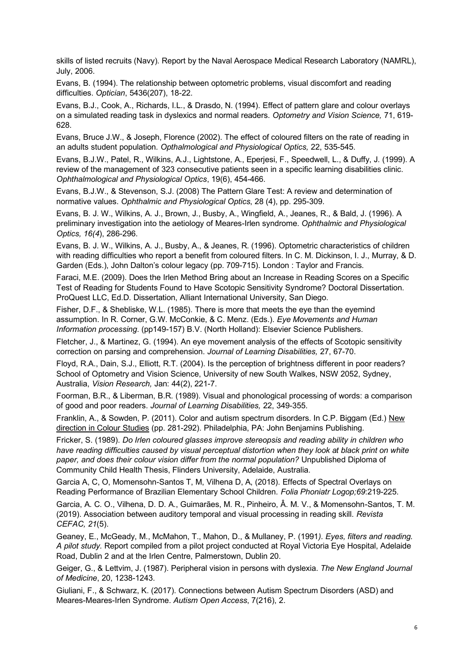skills of listed recruits (Navy). Report by the Naval Aerospace Medical Research Laboratory (NAMRL), July, 2006.

Evans, B. (1994). The relationship between optometric problems, visual discomfort and reading difficulties. *Optician*, 5436(207), 18-22.

Evans, B.J., Cook, A., Richards, I.L., & Drasdo, N. (1994). Effect of pattern glare and colour overlays on a simulated reading task in dyslexics and normal readers. *Optometry and Vision Science,* 71, 619- 628.

Evans, Bruce J.W., & Joseph, Florence (2002). The effect of coloured filters on the rate of reading in an adults student population. *Opthalmological and Physiological Optics,* 22, 535-545.

Evans, B.J.W., Patel, R., Wilkins, A.J., Lightstone, A., Eperjesi, F., Speedwell, L., & Duffy, J. (1999). A review of the management of 323 consecutive patients seen in a specific learning disabilities clinic. *Ophthalmological and Physiological Optics*, 19(6), 454-466.

Evans, B.J.W., & Stevenson, S.J. (2008) The Pattern Glare Test: A review and determination of normative values. *Ophthalmic and Physiological Optics*, 28 (4), pp. 295-309.

Evans, B. J. W., Wilkins, A. J., Brown, J., Busby, A., Wingfield, A., Jeanes, R., & Bald, J. (1996). A preliminary investigation into the aetiology of Meares-Irlen syndrome. *Ophthalmic and Physiological Optics, 16(4*), 286-296.

Evans, B. J. W., Wilkins, A. J., Busby, A., & Jeanes, R. (1996). Optometric characteristics of children with reading difficulties who report a benefit from coloured filters. In C. M. Dickinson, I. J., Murray, & D. Garden (Eds.), John Dalton's colour legacy (pp. 709-715). London : Taylor and Francis.

Faraci, M.E. (2009). Does the Irlen Method Bring about an Increase in Reading Scores on a Specific Test of Reading for Students Found to Have Scotopic Sensitivity Syndrome? Doctoral Dissertation. ProQuest LLC, Ed.D. Dissertation, Alliant International University, San Diego.

Fisher, D.F., & Shebliske, W.L. (1985). There is more that meets the eye than the eyemind assumption. In R. Corner, G.W. McConkie, & C. Menz. (Eds.). *Eye Movements and Human Information processing*. (pp149-157) B.V. (North Holland): Elsevier Science Publishers.

Fletcher, J., & Martinez, G. (1994). An eye movement analysis of the effects of Scotopic sensitivity correction on parsing and comprehension. *Journal of Learning Disabilities,* 27, 67-70.

Floyd, R.A., Dain, S.J., Elliott, R.T. (2004). Is the perception of brightness different in poor readers? School of Optometry and Vision Science, University of new South Walkes, NSW 2052, Sydney, Australia, *Vision Research,* Jan: 44(2), 221-7.

Foorman, B.R., & Liberman, B.R. (1989). Visual and phonological processing of words: a comparison of good and poor readers. *Journal of Learning Disabilities,* 22, 349-355.

Franklin, A., & Sowden, P. (2011). Color and autism spectrum disorders. In C.P. Biggam (Ed.) New direction in Colour Studies (pp. 281-292). Philadelphia, PA: John Benjamins Publishing.

Fricker, S. (1989). *Do Irlen coloured glasses improve stereopsis and reading ability in children who have reading difficulties caused by visual perceptual distortion when they look at black print on white paper, and does their colour vision differ from the normal population?* Unpublished Diploma of Community Child Health Thesis, Flinders University, Adelaide, Australia.

Garcia A, C, O, Momensohn-Santos T, M, Vilhena D, A, (2018). Effects of Spectral Overlays on Reading Performance of Brazilian Elementary School Children. *Folia Phoniatr Logop;69*:219-225.

Garcia, A. C. O., Vilhena, D. D. A., Guimarães, M. R., Pinheiro, Â. M. V., & Momensohn-Santos, T. M. (2019). Association between auditory temporal and visual processing in reading skill. *Revista CEFAC, 21*(5).

Geaney, E., McGeady, M., McMahon, T., Mahon, D., & Mullaney, P. (1991*). Eyes, filters and reading. A pilot study.* Report compiled from a pilot project conducted at Royal Victoria Eye Hospital, Adelaide Road, Dublin 2 and at the Irlen Centre, Palmerstown, Dublin 20.

Geiger, G., & Lettvim, J. (1987). Peripheral vision in persons with dyslexia. *The New England Journal of Medicine*, 20, 1238-1243.

Giuliani, F., & Schwarz, K. (2017). Connections between Autism Spectrum Disorders (ASD) and Meares-Meares-Irlen Syndrome. *Autism Open Access*, 7(216), 2.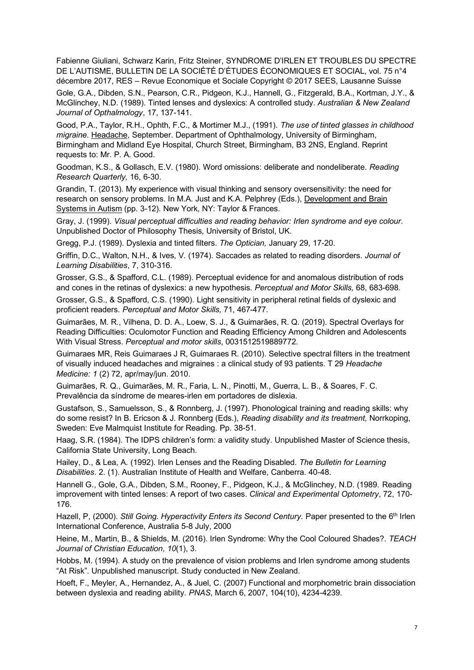Fabienne Giuliani, Schwarz Karin, Fritz Steiner, SYNDROME D'IRLEN ET TROUBLES DU SPECTRE DE L'AUTISME, BULLETIN DE LA SOCIÉTÉ D'ÉTUDES ÉCONOMIQUES ET SOCIAL, vol. 75 n°4 décembre 2017, RES – Revue Economique et Sociale Copyright © 2017 SEES, Lausanne Suisse

Gole, G.A., Dibden, S.N., Pearson, C.R., Pidgeon, K.J., Hannell, G., Fitzgerald, B.A., Kortman, J.Y., & McGlinchey, N.D. (1989). Tinted lenses and dyslexics: A controlled study. *Australian & New Zealand Journal of Opthalmology*, 17, 137-141.

Good, P.A., Taylor, R.H., Ophth, F.C., & Mortimer M.J., (1991). *The use of tinted glasses in childhood migraine*. Headache, September. Department of Ophthalmology, University of Birmingham, Birmingham and Midland Eye Hospital, Church Street, Birmingham, B3 2NS, England. Reprint requests to: Mr. P. A. Good.

Goodman, K.S., & Gollasch, E.V. (1980). Word omissions: deliberate and nondeliberate. *Reading Research Quarterly,* 16, 6-30.

Grandin, T. (2013). My experience with visual thinking and sensory oversensitivity: the need for research on sensory problems. In M.A. Just and K.A. Pelphrey (Eds.), Development and Brain Systems in Autism (pp. 3-12). New York, NY: Taylor & Frances.

Gray, J. (1999). *Visual perceptual difficulties and reading behavior: Irlen syndrome and eye colour*. Unpublished Doctor of Philosophy Thesis, University of Bristol, UK.

Gregg, P.J. (1989). Dyslexia and tinted filters. *The Optician,* January 29, 17-20.

Griffin, D.C., Walton, N.H., & Ives, V. (1974). Saccades as related to reading disorders. *Journal of Learning Disabilities*, 7, 310-316.

Grosser, G.S., & Spafford, C.L. (1989). Perceptual evidence for and anomalous distribution of rods and cones in the retinas of dyslexics: a new hypothesis. *Perceptual and Motor Skills,* 68, 683-698.

Grosser, G.S., & Spafford, C.S. (1990). Light sensitivity in peripheral retinal fields of dyslexic and proficient readers. *Perceptual and Motor Skills,* 71, 467-477.

Guimarães, M. R., Vilhena, D. D. A., Loew, S. J., & Guimarães, R. Q. (2019). Spectral Overlays for Reading Difficulties: Oculomotor Function and Reading Efficiency Among Children and Adolescents With Visual Stress. *Perceptual and motor skills*, 0031512519889772.

Guimaraes MR, Reis Guimaraes J R, Guimaraes R. (2010). Selective spectral filters in the treatment of visually induced headaches and migraines : a clinical study of 93 patients. T 29 *Headache Medicine: 1* (2) 72, apr/may/jun. 2010.

Guimarães, R. Q., Guimarães, M. R., Faria, L. N., Pinotti, M., Guerra, L. B., & Soares, F. C. Prevalência da síndrome de meares-irlen em portadores de dislexia.

Gustafson, S., Samuelsson, S., & Ronnberg, J. (1997). Phonological training and reading skills: why do some resist? In B. Ericson & J. Ronnberg (Eds.), *Reading disability and its treatment,* Norrkoping, Sweden: Eve Malmquist Institute for Reading. Pp. 38-51.

Haag, S.R. (1984). The IDPS children's form: a validity study. Unpublished Master of Science thesis, California State University, Long Beach.

Hailey, D., & Lea, A. (1992). Irlen Lenses and the Reading Disabled. *The Bulletin for Learning Disabilities*. 2. (1). Australian Institute of Health and Welfare, Canberra. 40-48.

Hannell G., Gole, G.A., Dibden, S.M., Rooney, F., Pidgeon, K.J., & McGlinchey, N.D. (1989. Reading improvement with tinted lenses: A report of two cases. *Clinical and Experimental Optometry*, 72, 170- 176.

Hazell, P, (2000). *Still Going. Hyperactivity Enters its Second Century.* Paper presented to the 6th Irlen International Conference, Australia 5-8 July, 2000

Heine, M., Martin, B., & Shields, M. (2016). Irlen Syndrome: Why the Cool Coloured Shades?. *TEACH Journal of Christian Education*, *10*(1), 3.

Hobbs, M. (1994). A study on the prevalence of vision problems and Irlen syndrome among students "At Risk". Unpublished manuscript. Study conducted in New Zealand.

Hoeft, F., Meyler, A., Hernandez, A., & Juel, C. (2007) Functional and morphometric brain dissociation between dyslexia and reading ability. *PNAS*, March 6, 2007, 104(10), 4234-4239.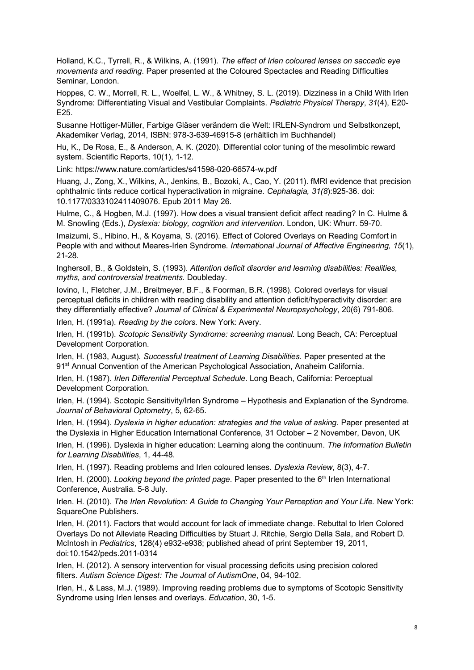Holland, K.C., Tyrrell, R., & Wilkins, A. (1991). *The effect of Irlen coloured lenses on saccadic eye movements and reading*. Paper presented at the Coloured Spectacles and Reading Difficulties Seminar, London.

Hoppes, C. W., Morrell, R. L., Woelfel, L. W., & Whitney, S. L. (2019). Dizziness in a Child With Irlen Syndrome: Differentiating Visual and Vestibular Complaints. *Pediatric Physical Therapy*, *31*(4), E20- E25.

Susanne Hottiger-Müller, Farbige Gläser verändern die Welt: IRLEN-Syndrom und Selbstkonzept, Akademiker Verlag, 2014, ISBN: 978-3-639-46915-8 (erhältlich im Buchhandel)

Hu, K., De Rosa, E., & Anderson, A. K. (2020). Differential color tuning of the mesolimbic reward system. Scientific Reports, 10(1), 1-12.

Link: https://www.nature.com/articles/s41598-020-66574-w.pdf

Huang, J., Zong, X., Wilkins, A., Jenkins, B., Bozoki, A., Cao, Y. (2011). fMRI evidence that precision ophthalmic tints reduce cortical hyperactivation in migraine. *Cephalagia, 31(8*):925-36. doi: 10.1177/0333102411409076. Epub 2011 May 26.

Hulme, C., & Hogben, M.J. (1997). How does a visual transient deficit affect reading? In C. Hulme & M. Snowling (Eds.), *Dyslexia: biology, cognition and intervention.* London, UK: Whurr. 59-70.

Imaizumi, S., Hibino, H., & Koyama, S. (2016). Effect of Colored Overlays on Reading Comfort in People with and without Meares-Irlen Syndrome. *International Journal of Affective Engineering, 15*(1), 21-28.

Inghersoll, B., & Goldstein, S. (1993). *Attention deficit disorder and learning disabilities: Realities, myths, and controversial treatments.* Doubleday.

Iovino, I., Fletcher, J.M., Breitmeyer, B.F., & Foorman, B.R. (1998). Colored overlays for visual perceptual deficits in children with reading disability and attention deficit/hyperactivity disorder: are they differentially effective? *Journal of Clinical & Experimental Neuropsychology*, 20(6) 791-806.

Irlen, H. (1991a). *Reading by the colors.* New York: Avery.

Irlen, H. (1991b). *Scotopic Sensitivity Syndrome: screening manual.* Long Beach, CA: Perceptual Development Corporation.

Irlen, H. (1983, August). *Successful treatment of Learning Disabilities*. Paper presented at the 91<sup>st</sup> Annual Convention of the American Psychological Association, Anaheim California.

Irlen, H. (1987). *Irlen Differential Perceptual Schedule*. Long Beach, California: Perceptual Development Corporation.

Irlen, H. (1994). Scotopic Sensitivity/Irlen Syndrome – Hypothesis and Explanation of the Syndrome. *Journal of Behavioral Optometry*, 5, 62-65.

Irlen, H. (1994). *Dyslexia in higher education: strategies and the value of asking*. Paper presented at the Dyslexia in Higher Education International Conference, 31 October – 2 November, Devon, UK

Irlen, H. (1996). Dyslexia in higher education: Learning along the continuum. *The Information Bulletin for Learning Disabilities*, 1, 44-48.

Irlen, H. (1997). Reading problems and Irlen coloured lenses. *Dyslexia Review*, 8(3), 4-7.

Irlen, H. (2000). *Looking beyond the printed page*. Paper presented to the 6<sup>th</sup> Irlen International Conference, Australia. 5-8 July.

Irlen. H. (2010). *The Irlen Revolution: A Guide to Changing Your Perception and Your Life.* New York: SquareOne Publishers.

Irlen, H. (2011). Factors that would account for lack of immediate change. Rebuttal to Irlen Colored Overlays Do not Alleviate Reading Difficulties by Stuart J. Ritchie, Sergio Della Sala, and Robert D. McIntosh in *Pediatrics*, 128(4) e932-e938; published ahead of print September 19, 2011, doi:10.1542/peds.2011-0314

Irlen, H. (2012). A sensory intervention for visual processing deficits using precision colored filters. *Autism Science Digest: The Journal of AutismOne*, 04, 94-102.

Irlen, H., & Lass, M.J. (1989). Improving reading problems due to symptoms of Scotopic Sensitivity Syndrome using Irlen lenses and overlays. *Education*, 30, 1-5.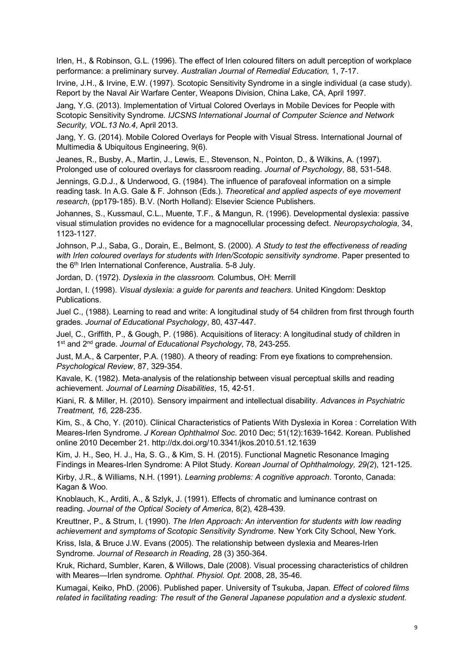Irlen, H., & Robinson, G.L. (1996). The effect of Irlen coloured filters on adult perception of workplace performance: a preliminary survey. *Australian Journal of Remedial Education,* 1, 7-17.

Irvine, J.H., & Irvine, E.W. (1997). Scotopic Sensitivity Syndrome in a single individual (a case study). Report by the Naval Air Warfare Center, Weapons Division, China Lake, CA, April 1997.

Jang, Y.G. (2013). Implementation of Virtual Colored Overlays in Mobile Devices for People with Scotopic Sensitivity Syndrome. *IJCSNS International Journal of Computer Science and Network Security, VOL.13 No.4*, April 2013.

Jang, Y. G. (2014). Mobile Colored Overlays for People with Visual Stress. International Journal of Multimedia & Ubiquitous Engineering, 9(6).

Jeanes, R., Busby, A., Martin, J., Lewis, E., Stevenson, N., Pointon, D., & Wilkins, A. (1997). Prolonged use of coloured overlays for classroom reading. *Journal of Psychology*, 88, 531-548.

Jennings, G.D.J., & Underwood, G. (1984). The influence of parafoveal information on a simple reading task. In A.G. Gale & F. Johnson (Eds.). *Theoretical and applied aspects of eye movement research*, (pp179-185). B.V. (North Holland): Elsevier Science Publishers.

Johannes, S., Kussmaul, C.L., Muente, T.F., & Mangun, R. (1996). Developmental dyslexia: passive visual stimulation provides no evidence for a magnocellular processing defect. *Neuropsychologia*, 34, 1123-1127.

Johnson, P.J., Saba, G., Dorain, E., Belmont, S. (2000). *A Study to test the effectiveness of reading*  with Irlen coloured overlays for students with Irlen/Scotopic sensitivity syndrome. Paper presented to the 6<sup>th</sup> Irlen International Conference, Australia. 5-8 July.

Jordan, D. (1972). *Dyslexia in the classroom.* Columbus, OH: Merrill

Jordan, I. (1998). *Visual dyslexia: a guide for parents and teachers*. United Kingdom: Desktop Publications.

Juel C., (1988). Learning to read and write: A longitudinal study of 54 children from first through fourth grades. *Journal of Educational Psychology*, 80, 437-447.

Juel, C., Griffith, P., & Gough, P. (1986). Acquisitions of literacy: A longitudinal study of children in 1<sup>st</sup> and 2<sup>nd</sup> grade. Journal of Educational Psychology, 78, 243-255.

Just, M.A., & Carpenter, P.A. (1980). A theory of reading: From eye fixations to comprehension. *Psychological Review*, 87, 329-354.

Kavale, K. (1982). Meta-analysis of the relationship between visual perceptual skills and reading achievement. *Journal of Learning Disabilities*, 15, 42-51.

Kiani, R. & Miller, H. (2010). Sensory impairment and intellectual disability. *Advances in Psychiatric Treatment, 16,* 228-235.

Kim, S., & Cho, Y. (2010). Clinical Characteristics of Patients With Dyslexia in Korea : Correlation With Meares-Irlen Syndrome. *J Korean Ophthalmol Soc*. 2010 Dec; 51(12):1639-1642. Korean. Published online 2010 December 21. http://dx.doi.org/10.3341/jkos.2010.51.12.1639

Kim, J. H., Seo, H. J., Ha, S. G., & Kim, S. H. (2015). Functional Magnetic Resonance Imaging Findings in Meares-Irlen Syndrome: A Pilot Study. *Korean Journal of Ophthalmology, 29(2*), 121-125.

Kirby, J.R., & Williams, N.H. (1991). *Learning problems: A cognitive approach*. Toronto, Canada: Kagan & Woo.

Knoblauch, K., Arditi, A., & Szlyk, J. (1991). Effects of chromatic and luminance contrast on reading. *Journal of the Optical Society of America*, 8(2), 428-439.

Kreuttner, P., & Strum, I. (1990). *The Irlen Approach: An intervention for students with low reading achievement and symptoms of Scotopic Sensitivity Syndrome*. New York City School, New York.

Kriss, Isla, & Bruce J.W. Evans (2005). The relationship between dyslexia and Meares-Irlen Syndrome. *Journal of Research in Reading*, 28 (3) 350-364.

Kruk, Richard, Sumbler, Karen, & Willows, Dale (2008). Visual processing characteristics of children with Meares—Irlen syndrome. *Ophthal. Physiol. Opt*. 2008, 28, 35-46.

Kumagai, Keiko, PhD. (2006). Published paper. University of Tsukuba, Japan*. Effect of colored films related in facilitating reading: The result of the General Japanese population and a dyslexic student.*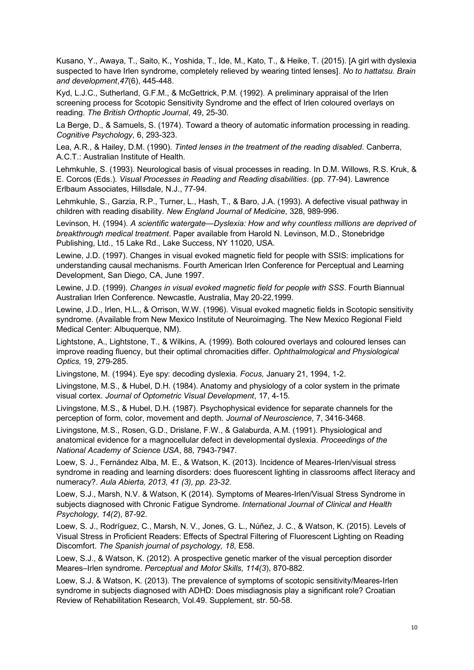Kusano, Y., Awaya, T., Saito, K., Yoshida, T., Ide, M., Kato, T., & Heike, T. (2015). [A girl with dyslexia suspected to have Irlen syndrome, completely relieved by wearing tinted lenses]. *No to hattatsu. Brain and development*,*47*(6), 445-448.

Kyd, L.J.C., Sutherland, G.F.M., & McGettrick, P.M. (1992). A preliminary appraisal of the Irlen screening process for Scotopic Sensitivity Syndrome and the effect of Irlen coloured overlays on reading. *The British Orthoptic Journal*, 49, 25-30.

La Berge, D., & Samuels, S. (1974). Toward a theory of automatic information processing in reading. *Cognitive Psychology*, 6, 293-323.

Lea, A.R., & Hailey, D.M. (1990). *Tinted lenses in the treatment of the reading disabled*. Canberra, A.C.T.: Australian Institute of Health.

Lehmkuhle, S. (1993). Neurological basis of visual processes in reading. In D.M. Willows, R.S. Kruk, & E. Corcos (Eds.). *Visual Processes in Reading and Reading disabilities*. (pp. 77-94). Lawrence Erlbaum Associates, Hillsdale, N.J., 77-94.

Lehmkuhle, S., Garzia, R.P., Turner, L., Hash, T., & Baro, J.A. (1993). A defective visual pathway in children with reading disability. *New England Journal of Medicine*, 328, 989-996.

Levinson, H. (1994). *A scientific watergate—Dyslexia: How and why countless millions are deprived of breakthrough medical treatment*. Paper available from Harold N. Levinson, M.D., Stonebridge Publishing, Ltd., 15 Lake Rd., Lake Success, NY 11020, USA.

Lewine, J.D. (1997). Changes in visual evoked magnetic field for people with SSIS: implications for understanding causal mechanisms. Fourth American Irlen Conference for Perceptual and Learning Development, San Diego, CA, June 1997.

Lewine, J.D. (1999). *Changes in visual evoked magnetic field for people with SSS*. Fourth Biannual Australian Irlen Conference. Newcastle, Australia, May 20-22,1999.

Lewine, J.D., Irlen, H.L., & Orrison, W.W. (1996). Visual evoked magnetic fields in Scotopic sensitivity syndrome. (Available from New Mexico Institute of Neuroimaging. The New Mexico Regional Field Medical Center: Albuquerque, NM).

Lightstone, A., Lightstone, T., & Wilkins, A. (1999). Both coloured overlays and coloured lenses can improve reading fluency, but their optimal chromacities differ. *Ophthalmological and Physiological Optics,* 19, 279-285.

Livingstone, M. (1994). Eye spy: decoding dyslexia. *Focus,* January 21, 1994, 1-2.

Livingstone, M.S., & Hubel, D.H. (1984). Anatomy and physiology of a color system in the primate visual cortex. *Journal of Optometric Visual Development*, 17, 4-15.

Livingstone, M.S., & Hubel, D.H. (1987). Psychophysical evidence for separate channels for the perception of form, color, movement and depth. *Journal of Neuroscience*, 7, 3416-3468.

Livingstone, M.S., Rosen, G.D., Drislane, F.W., & Galaburda, A.M. (1991). Physiological and anatomical evidence for a magnocellular defect in developmental dyslexia. *Proceedings of the National Academy of Science USA*, 88, 7943-7947.

Loew, S. J., Fernández Alba, M. E., & Watson, K. (2013). Incidence of Meares-Irlen/visual stress syndrome in reading and learning disorders: does fluorescent lighting in classrooms affect literacy and numeracy?. *Aula Abierta, 2013, 41 (3), pp. 23-32*.

Loew, S.J., Marsh, N.V. & Watson, K (2014). Symptoms of Meares-Irlen/Visual Stress Syndrome in subjects diagnosed with Chronic Fatigue Syndrome. *International Journal of Clinical and Health Psychology, 14(2*), 87-92.

Loew, S. J., Rodríguez, C., Marsh, N. V., Jones, G. L., Núñez, J. C., & Watson, K. (2015). Levels of Visual Stress in Proficient Readers: Effects of Spectral Filtering of Fluorescent Lighting on Reading Discomfort. *The Spanish journal of psychology, 18*, E58.

Loew, S.J., & Watson, K. (2012). A prospective genetic marker of the visual perception disorder Meares–Irlen syndrome. *Perceptual and Motor Skills, 114(3*), 870-882.

Loew, S.J. & Watson, K. (2013). The prevalence of symptoms of scotopic sensitivity/Meares-Irlen syndrome in subjects diagnosed with ADHD: Does misdiagnosis play a significant role? Croatian Review of Rehabilitation Research, Vol.49. Supplement, str. 50-58.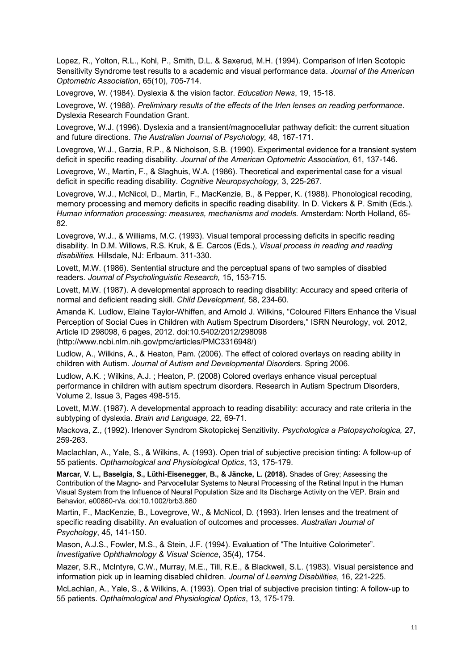Lopez, R., Yolton, R.L., Kohl, P., Smith, D.L. & Saxerud, M.H. (1994). Comparison of Irlen Scotopic Sensitivity Syndrome test results to a academic and visual performance data. *Journal of the American Optometric Association*, 65(10), 705-714.

Lovegrove, W. (1984). Dyslexia & the vision factor. *Education News*, 19, 15-18.

Lovegrove, W. (1988). *Preliminary results of the effects of the Irlen lenses on reading performance*. Dyslexia Research Foundation Grant.

Lovegrove, W.J. (1996). Dyslexia and a transient/magnocellular pathway deficit: the current situation and future directions. *The Australian Journal of Psychology,* 48, 167-171.

Lovegrove, W.J., Garzia, R.P., & Nicholson, S.B. (1990). Experimental evidence for a transient system deficit in specific reading disability. *Journal of the American Optometric Association,* 61, 137-146.

Lovegrove, W., Martin, F., & Slaghuis, W.A. (1986). Theoretical and experimental case for a visual deficit in specific reading disability. *Cognitive Neuropsychology,* 3, 225-267.

Lovegrove, W.J., McNicol, D., Martin, F., MacKenzie, B., & Pepper, K. (1988). Phonological recoding, memory processing and memory deficits in specific reading disability. In D. Vickers & P. Smith (Eds.). *Human information processing: measures, mechanisms and models.* Amsterdam: North Holland, 65- 82.

Lovegrove, W.J., & Williams, M.C. (1993). Visual temporal processing deficits in specific reading disability. In D.M. Willows, R.S. Kruk, & E. Carcos (Eds.), *Visual process in reading and reading disabilities.* Hillsdale, NJ: Erlbaum. 311-330.

Lovett, M.W. (1986). Sentential structure and the perceptual spans of two samples of disabled readers. *Journal of Psycholinguistic Research,* 15, 153-715.

Lovett, M.W. (1987). A developmental approach to reading disability: Accuracy and speed criteria of normal and deficient reading skill. *Child Development*, 58, 234-60.

Amanda K. Ludlow, Elaine Taylor-Whiffen, and Arnold J. Wilkins, "Coloured Filters Enhance the Visual Perception of Social Cues in Children with Autism Spectrum Disorders," ISRN Neurology, vol. 2012, Article ID 298098, 6 pages, 2012. doi:10.5402/2012/298098

(http://www.ncbi.nlm.nih.gov/pmc/articles/PMC3316948/)

Ludlow, A., Wilkins, A., & Heaton, Pam. (2006). The effect of colored overlays on reading ability in children with Autism. *Journal of Autism and Developmental Disorders.* Spring 2006.

Ludlow, A.K. ; Wilkins, A.J. ; Heaton, P. (2008) Colored overlays enhance visual perceptual performance in children with autism spectrum disorders. Research in Autism Spectrum Disorders, Volume 2, Issue 3, Pages 498-515.

Lovett, M.W. (1987). A developmental approach to reading disability: accuracy and rate criteria in the subtyping of dyslexia. *Brain and Language,* 22, 69-71.

Mackova, Z., (1992). Irlenover Syndrom Skotopickej Senzitivity. *Psychologica a Patopsychologica,* 27, 259-263.

Maclachlan, A., Yale, S., & Wilkins, A. (1993). Open trial of subjective precision tinting: A follow-up of 55 patients. *Opthamological and Physiological Optics*, 13, 175-179.

**Marcar, V. L., Baselgia, S., Lüthi-Eisenegger, B., & Jäncke, L. (2018).** Shades of Grey; Assessing the Contribution of the Magno- and Parvocellular Systems to Neural Processing of the Retinal Input in the Human Visual System from the Influence of Neural Population Size and Its Discharge Activity on the VEP. Brain and Behavior, e00860-n/a. doi:10.1002/brb3.860

Martin, F., MacKenzie, B., Lovegrove, W., & McNicol, D. (1993). Irlen lenses and the treatment of specific reading disability. An evaluation of outcomes and processes. *Australian Journal of Psychology*, 45, 141-150.

Mason, A.J.S., Fowler, M.S., & Stein, J.F. (1994). Evaluation of "The Intuitive Colorimeter". *Investigative Ophthalmology & Visual Science*, 35(4), 1754.

Mazer, S.R., McIntyre, C.W., Murray, M.E., Till, R.E., & Blackwell, S.L. (1983). Visual persistence and information pick up in learning disabled children. *Journal of Learning Disabilities*, 16, 221-225.

McLachlan, A., Yale, S., & Wilkins, A. (1993). Open trial of subjective precision tinting: A follow-up to 55 patients. *Opthalmological and Physiological Optics*, 13, 175-179.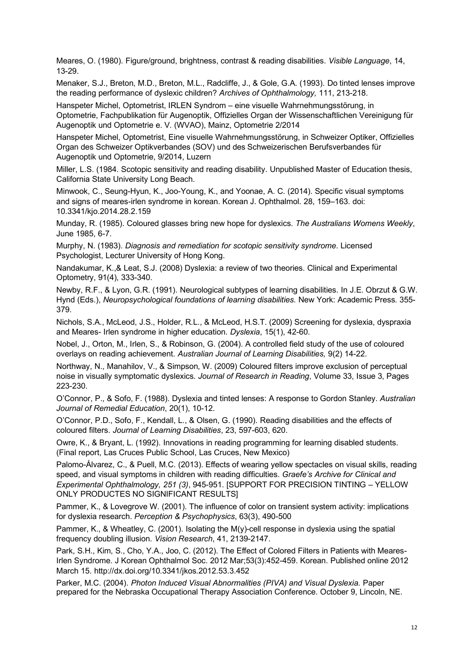Meares, O. (1980). Figure/ground, brightness, contrast & reading disabilities. *Visible Language*, 14, 13-29.

Menaker, S.J., Breton, M.D., Breton, M.L., Radcliffe, J., & Gole, G.A. (1993). Do tinted lenses improve the reading performance of dyslexic children? *Archives of Ophthalmology,* 111, 213-218.

Hanspeter Michel, Optometrist, IRLEN Syndrom – eine visuelle Wahrnehmungsstörung, in Optometrie, Fachpublikation für Augenoptik, Offizielles Organ der Wissenschaftlichen Vereinigung für Augenoptik und Optometrie e. V. (WVAO), Mainz, Optometrie 2/2014

Hanspeter Michel, Optometrist, Eine visuelle Wahrnehmungsstörung, in Schweizer Optiker, Offizielles Organ des Schweizer Optikverbandes (SOV) und des Schweizerischen Berufsverbandes für Augenoptik und Optometrie, 9/2014, Luzern

Miller, L.S. (1984. Scotopic sensitivity and reading disability. Unpublished Master of Education thesis, California State University Long Beach.

Minwook, C., Seung-Hyun, K., Joo-Young, K., and Yoonae, A. C. (2014). Specific visual symptoms and signs of meares-irlen syndrome in korean. Korean J. Ophthalmol. 28, 159–163. doi: 10.3341/kjo.2014.28.2.159

Munday, R. (1985). Coloured glasses bring new hope for dyslexics. *The Australians Womens Weekly*, June 1985, 6-7.

Murphy, N. (1983). *Diagnosis and remediation for scotopic sensitivity syndrome*. Licensed Psychologist, Lecturer University of Hong Kong.

Nandakumar, K.,& Leat, S.J. (2008) Dyslexia: a review of two theories. Clinical and Experimental Optometry, 91(4), 333-340.

Newby, R.F., & Lyon, G.R. (1991). Neurological subtypes of learning disabilities. In J.E. Obrzut & G.W. Hynd (Eds.), *Neuropsychological foundations of learning disabilities.* New York: Academic Press. 355- 379.

Nichols, S.A., McLeod, J.S., Holder, R.L., & McLeod, H.S.T. (2009) Screening for dyslexia, dyspraxia and Meares- Irlen syndrome in higher education. *Dyslexia*, 15(1), 42-60.

Nobel, J., Orton, M., Irlen, S., & Robinson, G. (2004). A controlled field study of the use of coloured overlays on reading achievement. *Australian Journal of Learning Disabilities,* 9(2) 14-22.

Northway, N., Manahilov, V., & Simpson, W. (2009) Coloured filters improve exclusion of perceptual noise in visually symptomatic dyslexics. *Journal of Research in Reading*, Volume 33, Issue 3, Pages 223-230.

O'Connor, P., & Sofo, F. (1988). Dyslexia and tinted lenses: A response to Gordon Stanley. *Australian Journal of Remedial Education*, 20(1), 10-12.

O'Connor, P.D., Sofo, F., Kendall, L., & Olsen, G. (1990). Reading disabilities and the effects of coloured filters. *Journal of Learning Disabilities*, 23, 597-603, 620.

Owre, K., & Bryant, L. (1992). Innovations in reading programming for learning disabled students. (Final report, Las Cruces Public School, Las Cruces, New Mexico)

Palomo-Álvarez, C., & Puell, M.C. (2013). Effects of wearing yellow spectacles on visual skills, reading speed, and visual symptoms in children with reading difficulties. *Graefe's Archive for Clinical and Experimental Ophthalmology, 251 (3)*, 945-951. [SUPPORT FOR PRECISION TINTING – YELLOW ONLY PRODUCTES NO SIGNIFICANT RESULTS]

Pammer, K., & Lovegrove W. (2001). The influence of color on transient system activity: implications for dyslexia research. *Perception & Psychophysics*, 63(3), 490-500

Pammer, K., & Wheatley, C. (2001). Isolating the M(y)-cell response in dyslexia using the spatial frequency doubling illusion. *Vision Research*, 41, 2139-2147.

Park, S.H., Kim, S., Cho, Y.A., Joo, C. (2012). The Effect of Colored Filters in Patients with Meares-Irlen Syndrome. J Korean Ophthalmol Soc. 2012 Mar;53(3):452-459. Korean. Published online 2012 March 15. http://dx.doi.org/10.3341/jkos.2012.53.3.452

Parker, M.C. (2004). *Photon Induced Visual Abnormalities (PIVA) and Visual Dyslexia.* Paper prepared for the Nebraska Occupational Therapy Association Conference. October 9, Lincoln, NE.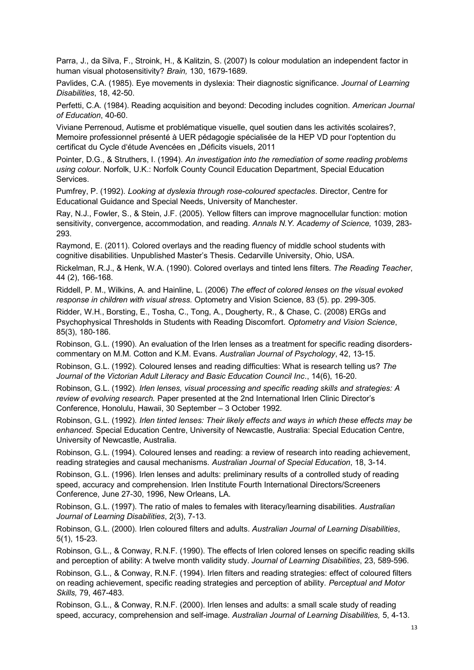Parra, J., da Silva, F., Stroink, H., & Kalitzin, S. (2007) Is colour modulation an independent factor in human visual photosensitivity? *Brain,* 130, 1679-1689.

Pavlides, C.A. (1985). Eye movements in dyslexia: Their diagnostic significance. *Journal of Learning Disabilities*, 18, 42-50.

Perfetti, C.A. (1984). Reading acquisition and beyond: Decoding includes cognition. *American Journal of Education*, 40-60.

Viviane Perrenoud, Autisme et problématique visuelle, quel soutien dans les activités scolaires?, Memoire professionnel présenté à UER pédagogie spécialisée de la HEP VD pour l'optention du certificat du Cycle d'étude Avencées en "Déficits visuels, 2011

Pointer, D.G., & Struthers, I. (1994). *An investigation into the remediation of some reading problems using colour.* Norfolk, U.K.: Norfolk County Council Education Department, Special Education Services.

Pumfrey, P. (1992). *Looking at dyslexia through rose-coloured spectacles*. Director, Centre for Educational Guidance and Special Needs, University of Manchester.

Ray, N.J., Fowler, S., & Stein, J.F. (2005). Yellow filters can improve magnocellular function: motion sensitivity, convergence, accommodation, and reading. *Annals N.Y. Academy of Science,* 1039, 283- 293.

Raymond, E. (2011). Colored overlays and the reading fluency of middle school students with cognitive disabilities. Unpublished Master's Thesis. Cedarville University, Ohio, USA.

Rickelman, R.J., & Henk, W.A. (1990). Colored overlays and tinted lens filters. *The Reading Teacher*, 44 (2), 166-168.

Riddell, P. M., Wilkins, A. and Hainline, L. (2006) *The effect of colored lenses on the visual evoked response in children with visual stress.* Optometry and Vision Science, 83 (5). pp. 299-305.

Ridder, W.H., Borsting, E., Tosha, C., Tong, A., Dougherty, R., & Chase, C. (2008) ERGs and Psychophysical Thresholds in Students with Reading Discomfort. *Optometry and Vision Science*, 85(3), 180-186.

Robinson, G.L. (1990). An evaluation of the Irlen lenses as a treatment for specific reading disorderscommentary on M.M. Cotton and K.M. Evans. *Australian Journal of Psychology*, 42, 13-15.

Robinson, G.L. (1992). Coloured lenses and reading difficulties: What is research telling us? *The Journal of the Victorian Adult Literacy and Basic Education Council Inc*., 14(6), 16-20.

Robinson, G.L. (1992). *Irlen lenses, visual processing and specific reading skills and strategies: A review of evolving research.* Paper presented at the 2nd International Irlen Clinic Director's Conference, Honolulu, Hawaii, 30 September – 3 October 1992.

Robinson, G.L. (1992). *Irlen tinted lenses: Their likely effects and ways in which these effects may be enhanced*. Special Education Centre, University of Newcastle, Australia: Special Education Centre, University of Newcastle, Australia.

Robinson, G.L. (1994). Coloured lenses and reading: a review of research into reading achievement, reading strategies and causal mechanisms. *Australian Journal of Special Education*, 18, 3-14.

Robinson, G.L. (1996). Irlen lenses and adults: preliminary results of a controlled study of reading speed, accuracy and comprehension. Irlen Institute Fourth International Directors/Screeners Conference, June 27-30, 1996, New Orleans, LA.

Robinson, G.L. (1997). The ratio of males to females with literacy/learning disabilities. *Australian Journal of Learning Disabilities*, 2(3), 7-13.

Robinson, G.L. (2000). Irlen coloured filters and adults. *Australian Journal of Learning Disabilities*, 5(1), 15-23.

Robinson, G.L., & Conway, R.N.F. (1990). The effects of Irlen colored lenses on specific reading skills and perception of ability: A twelve month validity study. *Journal of Learning Disabilities*, 23, 589-596.

Robinson, G.L., & Conway, R.N.F. (1994). Irlen filters and reading strategies: effect of coloured filters on reading achievement, specific reading strategies and perception of ability. *Perceptual and Motor Skills,* 79, 467-483.

Robinson, G.L., & Conway, R.N.F. (2000). Irlen lenses and adults: a small scale study of reading speed, accuracy, comprehension and self-image. *Australian Journal of Learning Disabilities,* 5, 4-13.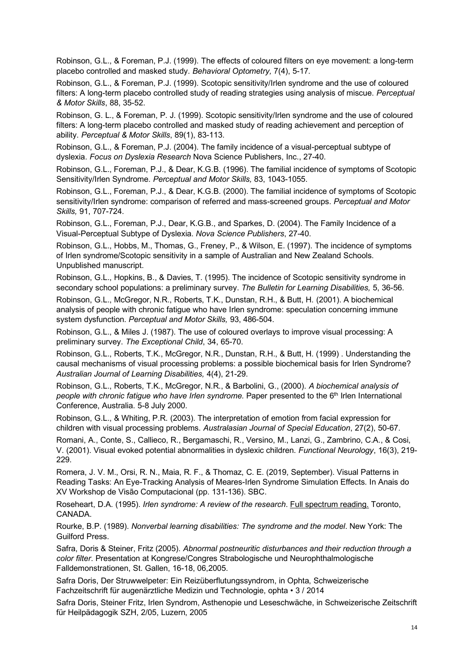Robinson, G.L., & Foreman, P.J. (1999). The effects of coloured filters on eye movement: a long-term placebo controlled and masked study. *Behavioral Optometry,* 7(4), 5-17.

Robinson, G.L., & Foreman, P.J. (1999). Scotopic sensitivity/Irlen syndrome and the use of coloured filters: A long-term placebo controlled study of reading strategies using analysis of miscue. *Perceptual & Motor Skills*, 88, 35-52.

Robinson, G. L., & Foreman, P. J. (1999). Scotopic sensitivity/Irlen syndrome and the use of coloured filters: A long-term placebo controlled and masked study of reading achievement and perception of ability. *Perceptual & Motor Skills*, 89(1), 83-113.

Robinson, G.L., & Foreman, P.J. (2004). The family incidence of a visual-perceptual subtype of dyslexia. *Focus on Dyslexia Research* Nova Science Publishers, Inc., 27-40.

Robinson, G.L., Foreman, P.J., & Dear, K.G.B. (1996). The familial incidence of symptoms of Scotopic Sensitivity/Irlen Syndrome. *Perceptual and Motor Skills,* 83, 1043-1055.

Robinson, G.L., Foreman, P.J., & Dear, K.G.B. (2000). The familial incidence of symptoms of Scotopic sensitivity/Irlen syndrome: comparison of referred and mass-screened groups. *Perceptual and Motor Skills,* 91, 707-724.

Robinson, G.L., Foreman, P.J., Dear, K.G.B., and Sparkes, D. (2004). The Family Incidence of a Visual-Perceptual Subtype of Dyslexia. *Nova Science Publishers*, 27-40.

Robinson, G.L., Hobbs, M., Thomas, G., Freney, P., & Wilson, E. (1997). The incidence of symptoms of Irlen syndrome/Scotopic sensitivity in a sample of Australian and New Zealand Schools. Unpublished manuscript.

Robinson, G.L., Hopkins, B., & Davies, T. (1995). The incidence of Scotopic sensitivity syndrome in secondary school populations: a preliminary survey. *The Bulletin for Learning Disabilities,* 5, 36-56.

Robinson, G.L., McGregor, N.R., Roberts, T.K., Dunstan, R.H., & Butt, H. (2001). A biochemical analysis of people with chronic fatigue who have Irlen syndrome: speculation concerning immune system dysfunction. *Perceptual and Motor Skills,* 93, 486-504.

Robinson, G.L., & Miles J. (1987). The use of coloured overlays to improve visual processing: A preliminary survey. *The Exceptional Child*, 34, 65-70.

Robinson, G.L., Roberts, T.K., McGregor, N.R., Dunstan, R.H., & Butt, H. (1999) . Understanding the causal mechanisms of visual processing problems: a possible biochemical basis for Irlen Syndrome? *Australian Journal of Learning Disabilities,* 4(4), 21-29.

Robinson, G.L., Roberts, T.K., McGregor, N.R., & Barbolini, G., (2000). *A biochemical analysis of people with chronic fatigue who have Irlen syndrome.* Paper presented to the 6<sup>th</sup> Irlen International Conference, Australia. 5-8 July 2000.

Robinson, G.L., & Whiting, P.R. (2003). The interpretation of emotion from facial expression for children with visual processing problems. *Australasian Journal of Special Education*, 27(2), 50-67.

Romani, A., Conte, S., Callieco, R., Bergamaschi, R., Versino, M., Lanzi, G., Zambrino, C.A., & Cosi, V. (2001). Visual evoked potential abnormalities in dyslexic children. *Functional Neurology*, 16(3), 219- 229.

Romera, J. V. M., Orsi, R. N., Maia, R. F., & Thomaz, C. E. (2019, September). Visual Patterns in Reading Tasks: An Eye-Tracking Analysis of Meares-Irlen Syndrome Simulation Effects. In Anais do XV Workshop de Visão Computacional (pp. 131-136). SBC.

Roseheart, D.A. (1995). *Irlen syndrome: A review of the research*. Full spectrum reading. Toronto, CANADA.

Rourke, B.P. (1989). *Nonverbal learning disabilities: The syndrome and the model*. New York: The Guilford Press.

Safra, Doris & Steiner, Fritz (2005). *Abnormal postneuritic disturbances and their reduction through a color filter*. Presentation at Kongrese/Congres Strabologische und Neurophthalmologische Falldemonstrationen, St. Gallen, 16-18, 06,2005.

Safra Doris, Der Struwwelpeter: Ein Reizüberflutungssyndrom, in Ophta, Schweizerische Fachzeitschrift für augenärztliche Medizin und Technologie, ophta • 3 / 2014

Safra Doris, Steiner Fritz, Irlen Syndrom, Asthenopie und Leseschwäche, in Schweizerische Zeitschrift für Heilpädagogik SZH, 2/05, Luzern, 2005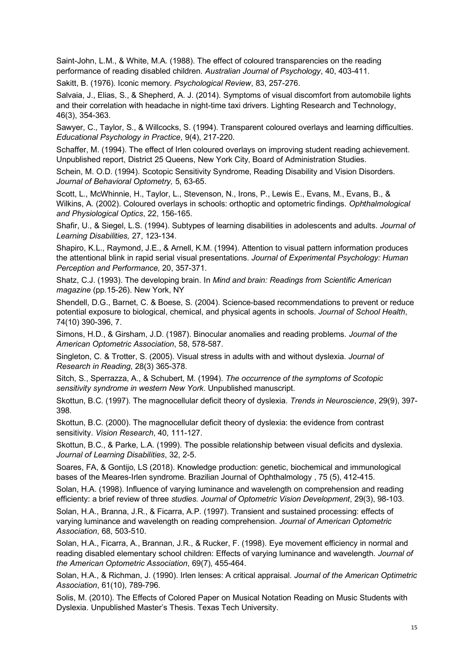Saint-John, L.M., & White, M.A. (1988). The effect of coloured transparencies on the reading performance of reading disabled children. *Australian Journal of Psychology*, 40, 403-411.

Sakitt, B. (1976). Iconic memory. *Psychological Review*, 83, 257-276.

Salvaia, J., Elias, S., & Shepherd, A. J. (2014). Symptoms of visual discomfort from automobile lights and their correlation with headache in night-time taxi drivers. Lighting Research and Technology, 46(3), 354-363.

Sawyer, C., Taylor, S., & Willcocks, S. (1994). Transparent coloured overlays and learning difficulties. *Educational Psychology in Practice*, 9(4), 217-220.

Schaffer, M. (1994). The effect of Irlen coloured overlays on improving student reading achievement. Unpublished report, District 25 Queens, New York City, Board of Administration Studies.

Schein, M. O.D. (1994). Scotopic Sensitivity Syndrome, Reading Disability and Vision Disorders. *Journal of Behavioral Optometry,* 5, 63-65.

Scott, L., McWhinnie, H., Taylor, L., Stevenson, N., Irons, P., Lewis E., Evans, M., Evans, B., & Wilkins, A. (2002). Coloured overlays in schools: orthoptic and optometric findings. *Ophthalmological and Physiological Optics*, 22, 156-165.

Shafir, U., & Siegel, L.S. (1994). Subtypes of learning disabilities in adolescents and adults. *Journal of Learning Disabilities,* 27, 123-134.

Shapiro, K.L., Raymond, J.E., & Arnell, K.M. (1994). Attention to visual pattern information produces the attentional blink in rapid serial visual presentations. *Journal of Experimental Psychology: Human Perception and Performance,* 20, 357-371.

Shatz, C.J. (1993). The developing brain. In *Mind and brain: Readings from Scientific American magazine* (pp.15-26). New York, NY

Shendell, D.G., Barnet, C. & Boese, S. (2004). Science-based recommendations to prevent or reduce potential exposure to biological, chemical, and physical agents in schools. *Journal of School Health*, 74(10) 390-396, 7.

Simons, H.D., & Girsham, J.D. (1987). Binocular anomalies and reading problems. *Journal of the American Optometric Association*, 58, 578-587.

Singleton, C. & Trotter, S. (2005). Visual stress in adults with and without dyslexia. *Journal of Research in Reading*, 28(3) 365-378.

Sitch, S., Sperrazza, A., & Schubert, M. (1994). *The occurrence of the symptoms of Scotopic sensitivity syndrome in western New York*. Unpublished manuscript.

Skottun, B.C. (1997). The magnocellular deficit theory of dyslexia. *Trends in Neuroscience*, 29(9), 397- 398.

Skottun, B.C. (2000). The magnocellular deficit theory of dyslexia: the evidence from contrast sensitivity. *Vision Research*, 40, 111-127.

Skottun, B.C., & Parke, L.A. (1999). The possible relationship between visual deficits and dyslexia. *Journal of Learning Disabilities*, 32, 2-5.

Soares, FA, & Gontijo, LS (2018). Knowledge production: genetic, biochemical and immunological bases of the Meares-Irlen syndrome. Brazilian Journal of Ophthalmology , 75 (5), 412-415.

Solan, H.A. (1998). Influence of varying luminance and wavelength on comprehension and reading efficienty: a brief review of three *studies. Journal of Optometric Vision Development*, 29(3), 98-103.

Solan, H.A., Branna, J.R., & Ficarra, A.P. (1997). Transient and sustained processing: effects of varying luminance and wavelength on reading comprehension. *Journal of American Optometric Association*, 68, 503-510.

Solan, H.A., Ficarra, A., Brannan, J.R., & Rucker, F. (1998). Eye movement efficiency in normal and reading disabled elementary school children: Effects of varying luminance and wavelength. *Journal of the American Optometric Association*, 69(7), 455-464.

Solan, H.A., & Richman, J. (1990). Irlen lenses: A critical appraisal. *Journal of the American Optimetric Association*, 61(10), 789-796.

Solis, M. (2010). The Effects of Colored Paper on Musical Notation Reading on Music Students with Dyslexia. Unpublished Master's Thesis. Texas Tech University.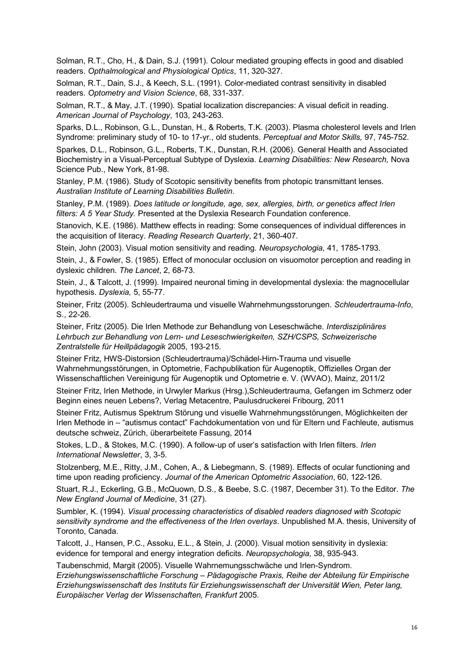Solman, R.T., Cho, H., & Dain, S.J. (1991). Colour mediated grouping effects in good and disabled readers. *Opthalmological and Physiological Optics*, 11, 320-327.

Solman, R.T., Dain, S.J., & Keech, S.L. (1991). Color-mediated contrast sensitivity in disabled readers. *Optometry and Vision Science*, 68, 331-337.

Solman, R.T., & May, J.T. (1990). Spatial localization discrepancies: A visual deficit in reading. *American Journal of Psychology*, 103, 243-263.

Sparks, D.L., Robinson, G.L., Dunstan, H., & Roberts, T.K. (2003). Plasma cholesterol levels and Irlen Syndrome: preliminary study of 10- to 17-yr., old students. *Perceptual and Motor Skills,* 97, 745-752.

Sparkes, D.L., Robinson, G.L., Roberts, T.K., Dunstan, R.H. (2006). General Health and Associated Biochemistry in a Visual-Perceptual Subtype of Dyslexia. *Learning Disabilities: New Research,* Nova Science Pub., New York, 81-98.

Stanley, P.M. (1986). Study of Scotopic sensitivity benefits from photopic transmittant lenses. *Australian Institute of Learning Disabilities Bulletin*.

Stanley, P.M. (1989). *Does latitude or longitude, age, sex, allergies, birth, or genetics affect Irlen filters: A 5 Year Study.* Presented at the Dyslexia Research Foundation conference.

Stanovich, K.E. (1986). Matthew effects in reading: Some consequences of individual differences in the acquisition of literacy. *Reading Research Quarterly*, 21, 360-407.

Stein, John (2003). Visual motion sensitivity and reading. *Neuropsychologia,* 41, 1785-1793.

Stein, J., & Fowler, S. (1985). Effect of monocular occlusion on visuomotor perception and reading in dyslexic children. *The Lancet*, 2, 68-73.

Stein, J., & Talcott, J. (1999). Impaired neuronal timing in developmental dyslexia: the magnocellular hypothesis. *Dyslexia,* 5, 55-77.

Steiner, Fritz (2005). Schleudertrauma und visuelle Wahrnehmungsstorungen. *Schleudertrauma-Info*, S., 22-26.

Steiner, Fritz (2005). Die Irlen Methode zur Behandlung von Leseschwäche. *Interdisziplinäres Lehrbuch zur Behandlung von Lern- und Leseschwierigkeiten, SZH/CSPS, Schweizerische Zentralstelle für Heillpädagogik* 2005, 193-215.

Steiner Fritz, HWS-Distorsion (Schleudertrauma)/Schädel-Hirn-Trauma und visuelle Wahrnehmungsstörungen, in Optometrie, Fachpublikation für Augenoptik, Offizielles Organ der Wissenschaftlichen Vereinigung für Augenoptik und Optometrie e. V. (WVAO), Mainz, 2011/2

Steiner Fritz, Irlen Methode, in Urwyler Markus (Hrsg.),Schleudertrauma, Gefangen im Schmerz oder Beginn eines neuen Lebens?, Verlag Metacentre, Paulusdruckerei Fribourg, 2011

Steiner Fritz, Autismus Spektrum Störung und visuelle Wahrnehmungsstörungen, Möglichkeiten der Irlen Methode in – "autismus contact" Fachdokumentation von und für Eltern und Fachleute, autismus deutsche schweiz, Zürich, überarbeitete Fassung, 2014

Stokes, L.D., & Stokes, M.C. (1990). A follow-up of user's satisfaction with Irlen filters. *Irlen International Newsletter*, 3, 3-5.

Stolzenberg, M.E., Ritty, J.M., Cohen, A., & Liebegmann, S. (1989). Effects of ocular functioning and time upon reading proficiency. *Journal of the American Optometric Association*, 60, 122-126.

Stuart, R.J., Eckerling, G.B., McQuown, D.S., & Beebe, S.C. (1987, December 31). To the Editor. *The New England Journal of Medicine*, 31 (27).

Sumbler, K. (1994). *Visual processing characteristics of disabled readers diagnosed with Scotopic sensitivity syndrome and the effectiveness of the Irlen overlays*. Unpublished M.A. thesis, University of Toronto, Canada.

Talcott, J., Hansen, P.C., Assoku, E.L., & Stein, J. (2000). Visual motion sensitivity in dyslexia: evidence for temporal and energy integration deficits. *Neuropsychologia*, 38, 935-943.

Taubenschmid, Margit (2005). Visuelle Wahrnemungsschwäche und Irlen-Syndrom. *Erziehungswissenschaftliche Forschung – Pädagogische Praxis, Reihe der Abteilung für Empirische Erziehungswissenschaft des Instituts für Erziehungswissenschaft der Universität Wien, Peter lang, Europäischer Verlag der Wissenschaften, Frankfurt* 2005.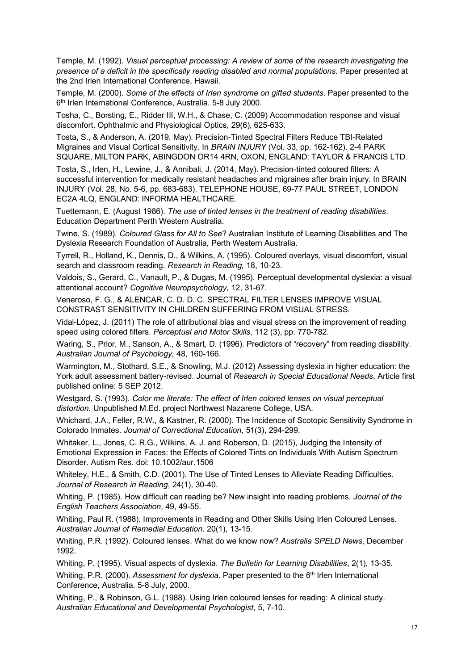Temple, M. (1992). *Visual perceptual processing: A review of some of the research investigating the presence of a deficit in the specifically reading disabled and normal populations*. Paper presented at the 2nd Irlen International Conference, Hawaii.

Temple, M. (2000). *Some of the effects of Irlen syndrome on gifted students*. Paper presented to the 6<sup>th</sup> Irlen International Conference, Australia. 5-8 July 2000.

Tosha, C., Borsting, E., Ridder III, W.H., & Chase, C. (2009) Accommodation response and visual discomfort. Ophthalmic and Physiological Optics, 29(6), 625-633.

Tosta, S., & Anderson, A. (2019, May). Precision-Tinted Spectral Filters Reduce TBI-Related Migraines and Visual Cortical Sensitivity. In *BRAIN INJURY* (Vol. 33, pp. 162-162). 2-4 PARK SQUARE, MILTON PARK, ABINGDON OR14 4RN, OXON, ENGLAND: TAYLOR & FRANCIS LTD.

Tosta, S., Irlen, H., Lewine, J., & Annibali, J. (2014, May). Precision-tinted coloured filters: A successful intervention for medically resistant headaches and migraines after brain injury. In BRAIN INJURY (Vol. 28, No. 5-6, pp. 683-683). TELEPHONE HOUSE, 69-77 PAUL STREET, LONDON EC2A 4LQ, ENGLAND: INFORMA HEALTHCARE.

Tuettemann, E. (August 1986). *The use of tinted lenses in the treatment of reading disabilities*. Education Department Perth Western Australia.

Twine, S. (1989). *Coloured Glass for All to See*? Australian Institute of Learning Disabilities and The Dyslexia Research Foundation of Australia, Perth Western Australia.

Tyrrell, R., Holland, K., Dennis, D., & Wilkins, A. (1995). Coloured overlays, visual discomfort, visual search and classroom reading. *Research in Reading,* 18, 10-23.

Valdois, S., Gerard, C., Vanault, P., & Dugas, M. (1995). Perceptual developmental dyslexia: a visual attentional account? *Cognitive Neuropsychology,* 12, 31-67.

Veneroso, F. G., & ALENCAR, C. D. D. C. SPECTRAL FILTER LENSES IMPROVE VISUAL CONSTRAST SENSITIVITY IN CHILDREN SUFFERING FROM VISUAL STRESS.

Vidal-López, J. (2011) The role of attributional bias and visual stress on the improvement of reading speed using colored filters. *Perceptual and Motor Skills*, 112 (3), pp. 770-782.

Waring, S., Prior, M., Sanson, A., & Smart, D. (1996). Predictors of "recovery" from reading disability. *Australian Journal of Psychology,* 48, 160-166.

Warmington, M., Stothard, S.E., & Snowling, M.J. (2012) Assessing dyslexia in higher education: the York adult assessment battery-revised. Journal of *Research in Special Educational Needs*, Article first published online: 5 SEP 2012.

Westgard, S. (1993). *Color me literate: The effect of Irlen colored lenses on visual perceptual distortion.* Unpublished M.Ed. project Northwest Nazarene College, USA.

Whichard, J.A., Feller, R.W., & Kastner, R. (2000). The Incidence of Scotopic Sensitivity Syndrome in Colorado Inmates. *Journal of Correctional Education*, 51(3), 294-299.

Whitaker, L., Jones, C. R.G., Wilkins, A. J. and Roberson, D. (2015), Judging the Intensity of Emotional Expression in Faces: the Effects of Colored Tints on Individuals With Autism Spectrum Disorder. Autism Res. doi: 10.1002/aur.1506

Whiteley, H.E., & Smith, C.D. (2001). The Use of Tinted Lenses to Alleviate Reading Difficulties. *Journal of Research in Reading*, 24(1), 30-40.

Whiting, P. (1985). How difficult can reading be? New insight into reading problems. *Journal of the English Teachers Association*, 49, 49-55.

Whiting, Paul R. (1988). Improvements in Reading and Other Skills Using Irlen Coloured Lenses. *Australian Journal of Remedial Education*. 20(1), 13-15.

Whiting, P.R. (1992). Coloured lenses. What do we know now? *Australia SPELD News*, December 1992.

Whiting, P. (1995). Visual aspects of dyslexia. *The Bulletin for Learning Disabilities*, 2(1), 13-35.

Whiting, P.R. (2000). *Assessment for dyslexia*. Paper presented to the 6<sup>th</sup> Irlen International Conference, Australia. 5-8 July, 2000.

Whiting, P., & Robinson, G.L. (1988). Using Irlen coloured lenses for reading: A clinical study. *Australian Educational and Developmental Psychologist*, 5, 7-10.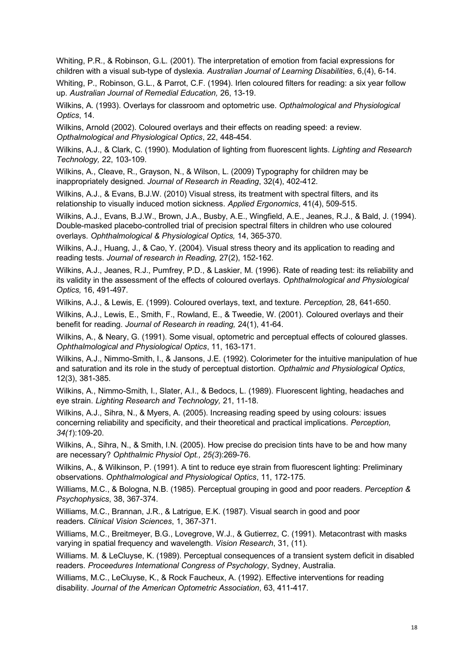Whiting, P.R., & Robinson, G.L. (2001). The interpretation of emotion from facial expressions for children with a visual sub-type of dyslexia. *Australian Journal of Learning Disabilities*, 6,(4), 6-14.

Whiting, P., Robinson, G.L., & Parrot, C.F. (1994). Irlen coloured filters for reading: a six year follow up. *Australian Journal of Remedial Education,* 26, 13-19.

Wilkins, A. (1993). Overlays for classroom and optometric use. *Opthalmological and Physiological Optics*, 14.

Wilkins, Arnold (2002). Coloured overlays and their effects on reading speed: a review. *Opthalmological and Physiological Optics*, 22, 448-454.

Wilkins, A.J., & Clark, C. (1990). Modulation of lighting from fluorescent lights. *Lighting and Research Technology,* 22, 103-109.

Wilkins, A., Cleave, R., Grayson, N., & Wilson, L. (2009) Typography for children may be inappropriately designed. *Journal of Research in Reading*, 32(4), 402-412.

Wilkins, A.J., & Evans, B.J.W. (2010) Visual stress, its treatment with spectral filters, and its relationship to visually induced motion sickness. *Applied Ergonomics*, 41(4), 509-515.

Wilkins, A.J., Evans, B.J.W., Brown, J.A., Busby, A.E., Wingfield, A.E., Jeanes, R.J., & Bald, J. (1994). Double-masked placebo-controlled trial of precision spectral filters in children who use coloured overlays. *Ophthalmological & Physiological Optics,* 14, 365-370.

Wilkins, A.J., Huang, J., & Cao, Y. (2004). Visual stress theory and its application to reading and reading tests. *Journal of research in Reading,* 27(2), 152-162.

Wilkins, A.J., Jeanes, R.J., Pumfrey, P.D., & Laskier, M. (1996). Rate of reading test: its reliability and its validity in the assessment of the effects of coloured overlays. *Ophthalmological and Physiological Optics,* 16, 491-497.

Wilkins, A.J., & Lewis, E. (1999). Coloured overlays, text, and texture. *Perception,* 28, 641-650.

Wilkins, A.J., Lewis, E., Smith, F., Rowland, E., & Tweedie, W. (2001). Coloured overlays and their benefit for reading. *Journal of Research in reading,* 24(1), 41-64.

Wilkins, A., & Neary, G. (1991). Some visual, optometric and perceptual effects of coloured glasses. *Ophthalmological and Physiological Optics*, 11, 163-171.

Wilkins, A.J., Nimmo-Smith, I., & Jansons, J.E. (1992). Colorimeter for the intuitive manipulation of hue and saturation and its role in the study of perceptual distortion. *Opthalmic and Physiological Optics*, 12(3), 381-385.

Wilkins, A., Nimmo-Smith, I., Slater, A.I., & Bedocs, L. (1989). Fluorescent lighting, headaches and eye strain. *Lighting Research and Technology,* 21, 11-18.

Wilkins, A.J., Sihra, N., & Myers, A. (2005). Increasing reading speed by using colours: issues concerning reliability and specificity, and their theoretical and practical implications. *Perception, 34(1*):109-20.

Wilkins, A., Sihra, N., & Smith, I.N. (2005). How precise do precision tints have to be and how many are necessary? *Ophthalmic Physiol Opt., 25(3*):269-76.

Wilkins, A., & Wilkinson, P. (1991). A tint to reduce eye strain from fluorescent lighting: Preliminary observations. *Ophthalmological and Physiological Optics*, 11, 172-175.

Williams, M.C., & Bologna, N.B. (1985). Perceptual grouping in good and poor readers. *Perception & Psychophysics*, 38, 367-374.

Williams, M.C., Brannan, J.R., & Latrigue, E.K. (1987). Visual search in good and poor readers. *Clinical Vision Sciences*, 1, 367-371.

Williams, M.C., Breitmeyer, B.G., Lovegrove, W.J., & Gutierrez, C. (1991). Metacontrast with masks varying in spatial frequency and wavelength. *Vision Research*, 31, (11).

Williams. M. & LeCluyse, K. (1989). Perceptual consequences of a transient system deficit in disabled readers. *Proceedures International Congress of Psychology*, Sydney, Australia.

Williams, M.C., LeCluyse, K., & Rock Faucheux, A. (1992). Effective interventions for reading disability. *Journal of the American Optometric Association*, 63, 411-417.